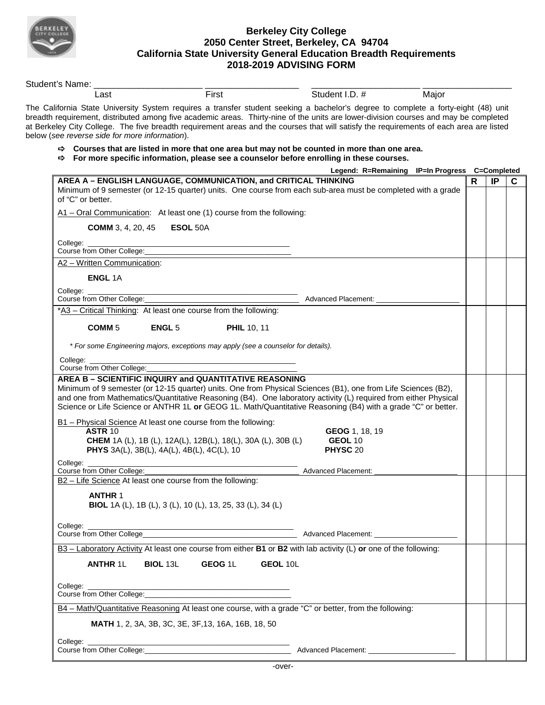

## **Berkeley City College 2050 Center Street, Berkeley, CA 94704 California State University General Education Breadth Requirements 2018-2019 ADVISING FORM**

| Student's Name:                                                                                                                                                                                                                |                                                                                    |                                                                                                                                                                                                                                                                                                                                                                                                                       |                                                |   |    |
|--------------------------------------------------------------------------------------------------------------------------------------------------------------------------------------------------------------------------------|------------------------------------------------------------------------------------|-----------------------------------------------------------------------------------------------------------------------------------------------------------------------------------------------------------------------------------------------------------------------------------------------------------------------------------------------------------------------------------------------------------------------|------------------------------------------------|---|----|
| Last                                                                                                                                                                                                                           | First                                                                              | Student I.D. #                                                                                                                                                                                                                                                                                                                                                                                                        | Major                                          |   |    |
| below (see reverse side for more information).                                                                                                                                                                                 |                                                                                    | The California State University System requires a transfer student seeking a bachelor's degree to complete a forty-eight (48) unit<br>breadth requirement, distributed among five academic areas. Thirty-nine of the units are lower-division courses and may be completed<br>at Berkeley City College. The five breadth requirement areas and the courses that will satisfy the requirements of each area are listed |                                                |   |    |
|                                                                                                                                                                                                                                |                                                                                    | $\Rightarrow$ Courses that are listed in more that one area but may not be counted in more than one area.<br>$\Rightarrow$ For more specific information, please see a counselor before enrolling in these courses.                                                                                                                                                                                                   |                                                |   |    |
|                                                                                                                                                                                                                                |                                                                                    |                                                                                                                                                                                                                                                                                                                                                                                                                       | Legend: R=Remaining IP=In Progress C=Completed |   |    |
| of "C" or better.                                                                                                                                                                                                              | AREA A - ENGLISH LANGUAGE, COMMUNICATION, and CRITICAL THINKING                    | Minimum of 9 semester (or 12-15 quarter) units. One course from each sub-area must be completed with a grade                                                                                                                                                                                                                                                                                                          |                                                | R | IP |
|                                                                                                                                                                                                                                | $A1$ – Oral Communication: At least one (1) course from the following:             |                                                                                                                                                                                                                                                                                                                                                                                                                       |                                                |   |    |
| <b>COMM</b> 3, 4, 20, 45                                                                                                                                                                                                       | ESOL 50A                                                                           |                                                                                                                                                                                                                                                                                                                                                                                                                       |                                                |   |    |
| College:<br>Course from Other College:                                                                                                                                                                                         |                                                                                    |                                                                                                                                                                                                                                                                                                                                                                                                                       |                                                |   |    |
| A2 - Written Communication:                                                                                                                                                                                                    |                                                                                    |                                                                                                                                                                                                                                                                                                                                                                                                                       |                                                |   |    |
| <b>ENGL 1A</b>                                                                                                                                                                                                                 |                                                                                    |                                                                                                                                                                                                                                                                                                                                                                                                                       |                                                |   |    |
| College:                                                                                                                                                                                                                       |                                                                                    |                                                                                                                                                                                                                                                                                                                                                                                                                       |                                                |   |    |
| Course from Other College:                                                                                                                                                                                                     |                                                                                    | Advanced Placement:                                                                                                                                                                                                                                                                                                                                                                                                   |                                                |   |    |
|                                                                                                                                                                                                                                | *A3 - Critical Thinking: At least one course from the following:                   |                                                                                                                                                                                                                                                                                                                                                                                                                       |                                                |   |    |
| COMM <sub>5</sub>                                                                                                                                                                                                              | <b>ENGL 5</b><br><b>PHIL 10, 11</b>                                                |                                                                                                                                                                                                                                                                                                                                                                                                                       |                                                |   |    |
|                                                                                                                                                                                                                                |                                                                                    |                                                                                                                                                                                                                                                                                                                                                                                                                       |                                                |   |    |
|                                                                                                                                                                                                                                | * For some Engineering majors, exceptions may apply (see a counselor for details). |                                                                                                                                                                                                                                                                                                                                                                                                                       |                                                |   |    |
| College:                                                                                                                                                                                                                       |                                                                                    |                                                                                                                                                                                                                                                                                                                                                                                                                       |                                                |   |    |
| Course from Other College:                                                                                                                                                                                                     |                                                                                    |                                                                                                                                                                                                                                                                                                                                                                                                                       |                                                |   |    |
|                                                                                                                                                                                                                                | AREA B - SCIENTIFIC INQUIRY and QUANTITATIVE REASONING                             |                                                                                                                                                                                                                                                                                                                                                                                                                       |                                                |   |    |
|                                                                                                                                                                                                                                |                                                                                    | Minimum of 9 semester (or 12-15 quarter) units. One from Physical Sciences (B1), one from Life Sciences (B2),                                                                                                                                                                                                                                                                                                         |                                                |   |    |
|                                                                                                                                                                                                                                |                                                                                    | and one from Mathematics/Quantitative Reasoning (B4). One laboratory activity (L) required from either Physical                                                                                                                                                                                                                                                                                                       |                                                |   |    |
|                                                                                                                                                                                                                                |                                                                                    | Science or Life Science or ANTHR 1L or GEOG 1L. Math/Quantitative Reasoning (B4) with a grade "C" or better.                                                                                                                                                                                                                                                                                                          |                                                |   |    |
|                                                                                                                                                                                                                                | B1 - Physical Science At least one course from the following:                      |                                                                                                                                                                                                                                                                                                                                                                                                                       |                                                |   |    |
| <b>ASTR 10</b>                                                                                                                                                                                                                 |                                                                                    | GEOG 1, 18, 19                                                                                                                                                                                                                                                                                                                                                                                                        |                                                |   |    |
|                                                                                                                                                                                                                                | <b>CHEM</b> 1A (L), 1B (L), 12A(L), 12B(L), 18(L), 30A (L), 30B (L)                | <b>GEOL 10</b>                                                                                                                                                                                                                                                                                                                                                                                                        |                                                |   |    |
|                                                                                                                                                                                                                                | PHYS 3A(L), 3B(L), 4A(L), 4B(L), 4C(L), 10                                         | PHYSC 20                                                                                                                                                                                                                                                                                                                                                                                                              |                                                |   |    |
|                                                                                                                                                                                                                                |                                                                                    |                                                                                                                                                                                                                                                                                                                                                                                                                       |                                                |   |    |
| College:<br>Course from Other College:                                                                                                                                                                                         |                                                                                    | <b>Advanced Placement:</b>                                                                                                                                                                                                                                                                                                                                                                                            |                                                |   |    |
|                                                                                                                                                                                                                                | B2 - Life Science At least one course from the following:                          |                                                                                                                                                                                                                                                                                                                                                                                                                       |                                                |   |    |
|                                                                                                                                                                                                                                |                                                                                    |                                                                                                                                                                                                                                                                                                                                                                                                                       |                                                |   |    |
| <b>ANTHR 1</b>                                                                                                                                                                                                                 | <b>BIOL</b> 1A (L), 1B (L), 3 (L), 10 (L), 13, 25, 33 (L), 34 (L)                  |                                                                                                                                                                                                                                                                                                                                                                                                                       |                                                |   |    |
|                                                                                                                                                                                                                                |                                                                                    |                                                                                                                                                                                                                                                                                                                                                                                                                       |                                                |   |    |
| College: ____________                                                                                                                                                                                                          |                                                                                    |                                                                                                                                                                                                                                                                                                                                                                                                                       |                                                |   |    |
|                                                                                                                                                                                                                                |                                                                                    |                                                                                                                                                                                                                                                                                                                                                                                                                       |                                                |   |    |
|                                                                                                                                                                                                                                |                                                                                    |                                                                                                                                                                                                                                                                                                                                                                                                                       |                                                |   |    |
|                                                                                                                                                                                                                                |                                                                                    |                                                                                                                                                                                                                                                                                                                                                                                                                       |                                                |   |    |
|                                                                                                                                                                                                                                |                                                                                    | B3 - Laboratory Activity At least one course from either B1 or B2 with lab activity (L) or one of the following:                                                                                                                                                                                                                                                                                                      |                                                |   |    |
| <b>ANTHR 1L</b>                                                                                                                                                                                                                | <b>BIOL 13L</b><br>GEOG 1L                                                         | GEOL 10L                                                                                                                                                                                                                                                                                                                                                                                                              |                                                |   |    |
|                                                                                                                                                                                                                                |                                                                                    |                                                                                                                                                                                                                                                                                                                                                                                                                       |                                                |   |    |
| College: the college of the college of the college of the college of the college of the college of the college of the college of the college of the college of the college of the college of the college of the college of the |                                                                                    |                                                                                                                                                                                                                                                                                                                                                                                                                       |                                                |   |    |
|                                                                                                                                                                                                                                |                                                                                    |                                                                                                                                                                                                                                                                                                                                                                                                                       |                                                |   |    |
|                                                                                                                                                                                                                                |                                                                                    | B4 - Math/Quantitative Reasoning At least one course, with a grade "C" or better, from the following:                                                                                                                                                                                                                                                                                                                 |                                                |   |    |
|                                                                                                                                                                                                                                | MATH 1, 2, 3A, 3B, 3C, 3E, 3F, 13, 16A, 16B, 18, 50                                |                                                                                                                                                                                                                                                                                                                                                                                                                       |                                                |   |    |
|                                                                                                                                                                                                                                |                                                                                    |                                                                                                                                                                                                                                                                                                                                                                                                                       |                                                |   |    |
|                                                                                                                                                                                                                                |                                                                                    |                                                                                                                                                                                                                                                                                                                                                                                                                       |                                                |   |    |
|                                                                                                                                                                                                                                |                                                                                    |                                                                                                                                                                                                                                                                                                                                                                                                                       |                                                |   |    |